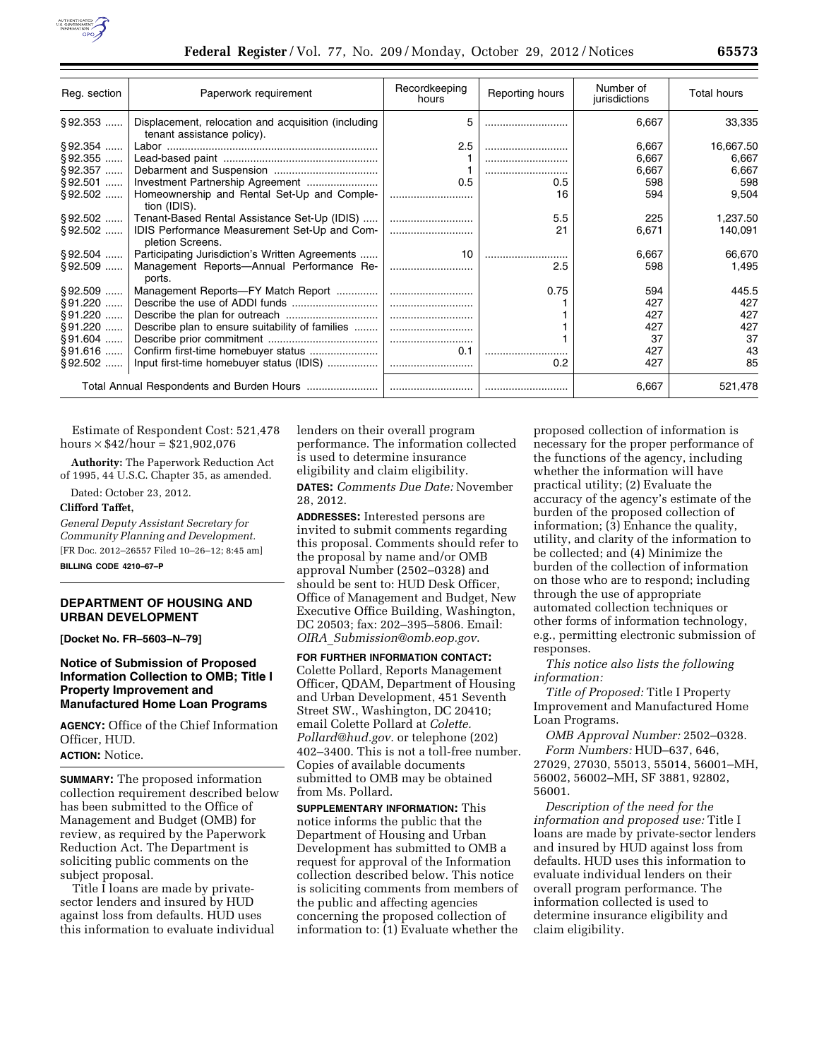

| Reg. section | Paperwork requirement                                                             | Recordkeeping<br>hours | Reporting hours | Number of<br>jurisdictions | Total hours |
|--------------|-----------------------------------------------------------------------------------|------------------------|-----------------|----------------------------|-------------|
| $§92.353$    | Displacement, relocation and acquisition (including<br>tenant assistance policy). | 5                      |                 | 6,667                      | 33,335      |
| §92.354      |                                                                                   | 2.5                    |                 | 6,667                      | 16,667.50   |
| $§92.355$    |                                                                                   |                        |                 | 6,667                      | 6,667       |
| $§92.357$    |                                                                                   |                        |                 | 6,667                      | 6,667       |
| $§92.501$    |                                                                                   | 0.5                    | 0.5             | 598                        | 598         |
| $§ 92.502$   | Homeownership and Rental Set-Up and Comple-<br>tion (IDIS).                       |                        | 16              | 594                        | 9,504       |
|              | §92.502  Tenant-Based Rental Assistance Set-Up (IDIS)                             |                        | 5.5             | 225                        | 1,237.50    |
| $§ 92.502$   | IDIS Performance Measurement Set-Up and Com-<br>pletion Screens.                  |                        | 21              | 6,671                      | 140,091     |
|              | §92.504    Participating Jurisdiction's Written Agreements                        | 10                     |                 | 6,667                      | 66,670      |
| §92.509      | Management Reports-Annual Performance Re-<br>ports.                               |                        | 2.5             | 598                        | 1,495       |
|              | §92.509    Management Reports-FY Match Report                                     |                        | 0.75            | 594                        | 445.5       |
| §91.220      |                                                                                   |                        |                 | 427                        | 427         |
| $§91.220$    |                                                                                   |                        |                 | 427                        | 427         |
| §91.220      | Describe plan to ensure suitability of families                                   |                        |                 | 427                        | 427         |
| §91.604      |                                                                                   |                        |                 | 37                         | 37          |
| §91.616      | Confirm first-time homebuyer status                                               | 0.1                    |                 | 427                        | 43          |
| $§92.502$    | Input first-time homebuyer status (IDIS)                                          |                        | 0.2             | 427                        | 85          |
|              |                                                                                   |                        |                 | 6,667                      | 521,478     |

Estimate of Respondent Cost: 521,478 hours  $\times$  \$42/hour = \$21,902,076

**Authority:** The Paperwork Reduction Act of 1995, 44 U.S.C. Chapter 35, as amended.

Dated: October 23, 2012.

### **Clifford Taffet,**

*General Deputy Assistant Secretary for Community Planning and Development.*  [FR Doc. 2012–26557 Filed 10–26–12; 8:45 am]

**BILLING CODE 4210–67–P** 

# **DEPARTMENT OF HOUSING AND URBAN DEVELOPMENT**

**[Docket No. FR–5603–N–79]** 

# **Notice of Submission of Proposed Information Collection to OMB; Title I Property Improvement and Manufactured Home Loan Programs**

**AGENCY:** Office of the Chief Information Officer, HUD.

### **ACTION:** Notice.

**SUMMARY:** The proposed information collection requirement described below has been submitted to the Office of Management and Budget (OMB) for review, as required by the Paperwork Reduction Act. The Department is soliciting public comments on the subject proposal.

Title I loans are made by privatesector lenders and insured by HUD against loss from defaults. HUD uses this information to evaluate individual lenders on their overall program performance. The information collected is used to determine insurance eligibility and claim eligibility. **DATES:** *Comments Due Date:* November

28, 2012.

**ADDRESSES:** Interested persons are invited to submit comments regarding this proposal. Comments should refer to the proposal by name and/or OMB approval Number (2502–0328) and should be sent to: HUD Desk Officer, Office of Management and Budget, New Executive Office Building, Washington, DC 20503; fax: 202–395–5806. Email: *OIRA*\_*[Submission@omb.eop.gov](mailto:OIRA_Submission@omb.eop.gov)*.

**FOR FURTHER INFORMATION CONTACT:** 

Colette Pollard, Reports Management Officer, QDAM, Department of Housing and Urban Development, 451 Seventh Street SW., Washington, DC 20410; email Colette Pollard at *[Colette.](mailto:Colette.Pollard@hud.gov)  [Pollard@hud.gov](mailto:Colette.Pollard@hud.gov).* or telephone (202) 402–3400. This is not a toll-free number. Copies of available documents submitted to OMB may be obtained from Ms. Pollard.

**SUPPLEMENTARY INFORMATION:** This notice informs the public that the Department of Housing and Urban Development has submitted to OMB a request for approval of the Information collection described below. This notice is soliciting comments from members of the public and affecting agencies concerning the proposed collection of information to: (1) Evaluate whether the

proposed collection of information is necessary for the proper performance of the functions of the agency, including whether the information will have practical utility; (2) Evaluate the accuracy of the agency's estimate of the burden of the proposed collection of information; (3) Enhance the quality, utility, and clarity of the information to be collected; and (4) Minimize the burden of the collection of information on those who are to respond; including through the use of appropriate automated collection techniques or other forms of information technology, e.g., permitting electronic submission of responses.

*This notice also lists the following information:* 

*Title of Proposed:* Title I Property Improvement and Manufactured Home Loan Programs.

*OMB Approval Number:* 2502–0328. *Form Numbers:* HUD–637, 646, 27029, 27030, 55013, 55014, 56001–MH, 56002, 56002–MH, SF 3881, 92802, 56001.

*Description of the need for the information and proposed use:* Title I loans are made by private-sector lenders and insured by HUD against loss from defaults. HUD uses this information to evaluate individual lenders on their overall program performance. The information collected is used to determine insurance eligibility and claim eligibility.